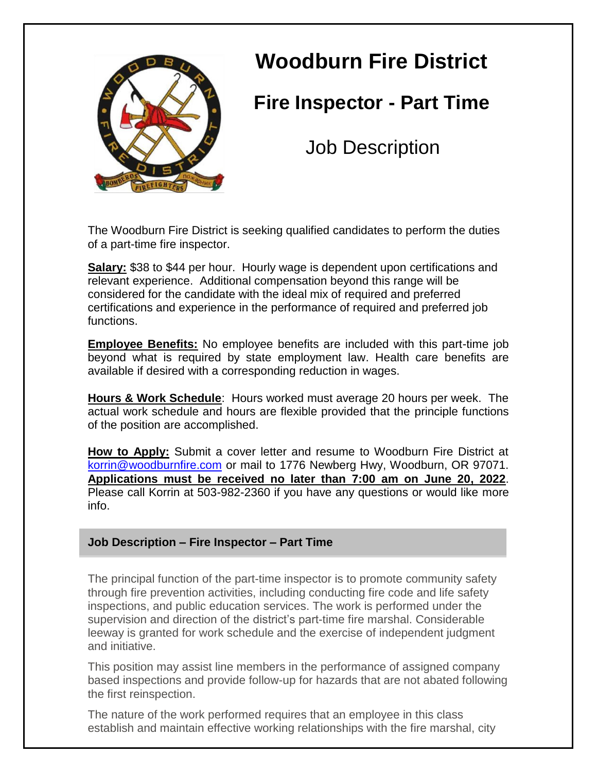# **Woodburn Fire District**



## **Fire Inspector - Part Time**

Job Description

The Woodburn Fire District is seeking qualified candidates to perform the duties of a part-time fire inspector.

**Salary:** \$38 to \$44 per hour. Hourly wage is dependent upon certifications and relevant experience. Additional compensation beyond this range will be considered for the candidate with the ideal mix of required and preferred certifications and experience in the performance of required and preferred job functions.

**Employee Benefits:** No employee benefits are included with this part-time job beyond what is required by state employment law. Health care benefits are available if desired with a corresponding reduction in wages.

**Hours & Work Schedule**: Hours worked must average 20 hours per week. The actual work schedule and hours are flexible provided that the principle functions of the position are accomplished.

**How to Apply:** Submit a cover letter and resume to Woodburn Fire District at [korrin@woodburnfire.com](mailto:korrin@woodburnfire.com) or mail to 1776 Newberg Hwy, Woodburn, OR 97071. **Applications must be received no later than 7:00 am on June 20, 2022**. Please call Korrin at 503-982-2360 if you have any questions or would like more info.

## **Job Description – Fire Inspector – Part Time**

The principal function of the part-time inspector is to promote community safety through fire prevention activities, including conducting fire code and life safety inspections, and public education services. The work is performed under the supervision and direction of the district's part-time fire marshal. Considerable leeway is granted for work schedule and the exercise of independent judgment and initiative.

This position may assist line members in the performance of assigned company based inspections and provide follow-up for hazards that are not abated following the first reinspection.

The nature of the work performed requires that an employee in this class establish and maintain effective working relationships with the fire marshal, city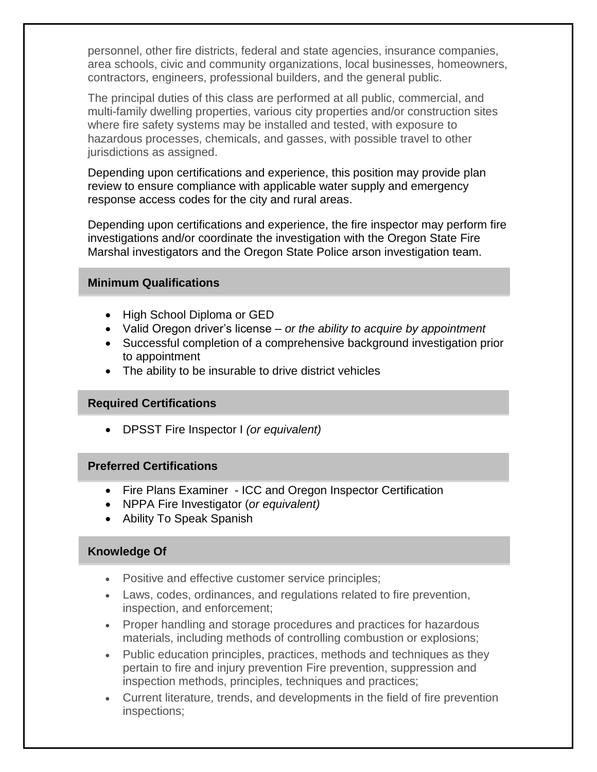personnel, other fire districts, federal and state agencies, insurance companies, area schools, civic and community organizations, local businesses, homeowners, contractors, engineers, professional builders, and the general public.

The principal duties of this class are performed at all public, commercial, and multi-family dwelling properties, various city properties and/or construction sites where fire safety systems may be installed and tested, with exposure to hazardous processes, chemicals, and gasses, with possible travel to other jurisdictions as assigned.

Depending upon certifications and experience, this position may provide plan review to ensure compliance with applicable water supply and emergency response access codes for the city and rural areas.

Depending upon certifications and experience, the fire inspector may perform fire investigations and/or coordinate the investigation with the Oregon State Fire Marshal investigators and the Oregon State Police arson investigation team.

## **Minimum Qualifications**

- High School Diploma or GED
- Valid Oregon driver's license *or the ability to acquire by appointment*
- Successful completion of a comprehensive background investigation prior to appointment
- The ability to be insurable to drive district vehicles

## **Required Certifications**

DPSST Fire Inspector I *(or equivalent)*

## **Preferred Certifications**

- Fire Plans Examiner ICC and Oregon Inspector Certification
- NPPA Fire Investigator (*or equivalent)*
- Ability To Speak Spanish

## **Knowledge Of**

- Positive and effective customer service principles;
- Laws, codes, ordinances, and regulations related to fire prevention, inspection, and enforcement;
- Proper handling and storage procedures and practices for hazardous materials, including methods of controlling combustion or explosions;
- Public education principles, practices, methods and techniques as they pertain to fire and injury prevention Fire prevention, suppression and inspection methods, principles, techniques and practices;
- Current literature, trends, and developments in the field of fire prevention inspections;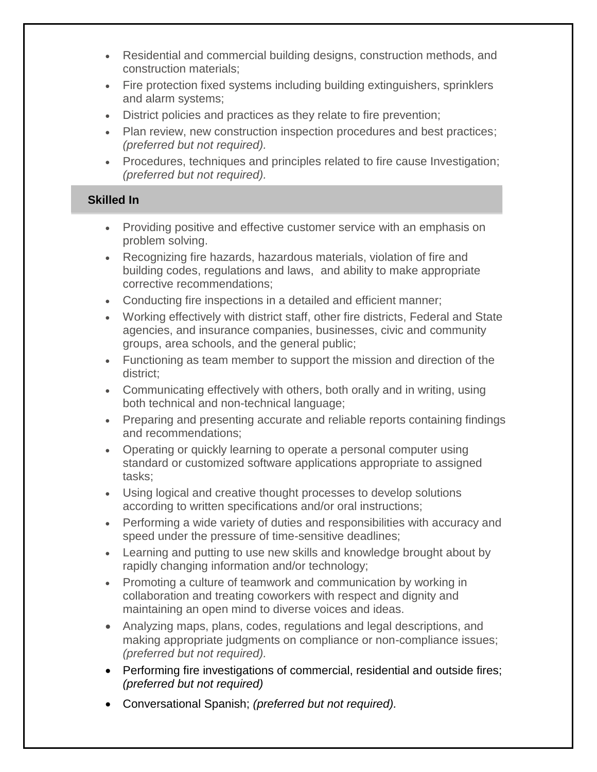- Residential and commercial building designs, construction methods, and construction materials;
- Fire protection fixed systems including building extinguishers, sprinklers and alarm systems;
- District policies and practices as they relate to fire prevention;
- Plan review, new construction inspection procedures and best practices; *(preferred but not required).*
- Procedures, techniques and principles related to fire cause Investigation; *(preferred but not required).*

## **Skilled In**

- Providing positive and effective customer service with an emphasis on problem solving.
- Recognizing fire hazards, hazardous materials, violation of fire and building codes, regulations and laws, and ability to make appropriate corrective recommendations;
- Conducting fire inspections in a detailed and efficient manner;
- Working effectively with district staff, other fire districts, Federal and State agencies, and insurance companies, businesses, civic and community groups, area schools, and the general public;
- Functioning as team member to support the mission and direction of the district;
- Communicating effectively with others, both orally and in writing, using both technical and non-technical language;
- Preparing and presenting accurate and reliable reports containing findings and recommendations;
- Operating or quickly learning to operate a personal computer using standard or customized software applications appropriate to assigned tasks;
- Using logical and creative thought processes to develop solutions according to written specifications and/or oral instructions;
- Performing a wide variety of duties and responsibilities with accuracy and speed under the pressure of time-sensitive deadlines;
- Learning and putting to use new skills and knowledge brought about by rapidly changing information and/or technology;
- Promoting a culture of teamwork and communication by working in collaboration and treating coworkers with respect and dignity and maintaining an open mind to diverse voices and ideas.
- Analyzing maps, plans, codes, regulations and legal descriptions, and making appropriate judgments on compliance or non-compliance issues; *(preferred but not required).*
- Performing fire investigations of commercial, residential and outside fires; *(preferred but not required)*
- Conversational Spanish; *(preferred but not required).*